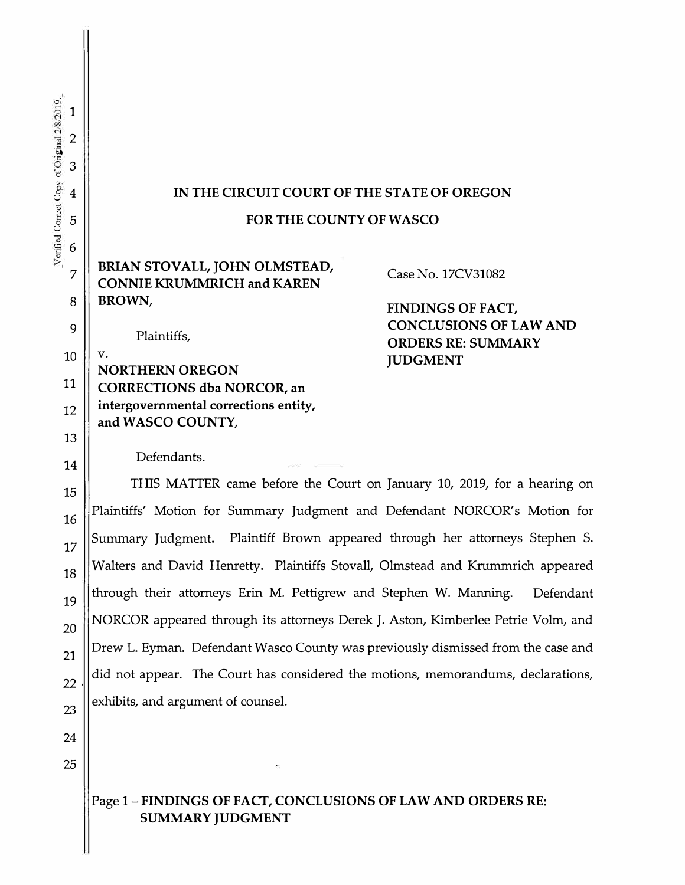# **IN THE CIRCUIT COURT OF THE STATE OF OREGON**

#### **FOR THE COUNTY OF WASCO**

# **BRIAN STOVALL, JOHN OLMSTEAD, CONNIE KRUMMRICH and KAREN BROWN,**

Plaintiffs,

v. **NORTHERN OREGON CORRECTIONS dba NORCOR, an intergovernmental corrections entity, and WASCO COUNTY,** 

## Case No. 17CV31082

**FINDINGS OF FACT, CONCLUSIONS OF LAW AND ORDERS RE: SUMMARY JUDGMENT** 

Defendants.

 $\begin{array}{c|c|c|c|c|c|c|c|c} \hline \text{15} & \text{THIS MATTER came before the Court on January 10, 2019, for a hearing on }\end{array}$  $\parallel$ Plaintiffs' Motion for Summary Judgment and Defendant NORCOR's Motion for  $17$  Summary Judgment. Plaintiff Brown appeared through her attorneys Stephen S. Walters and David Henretty. Plaintiffs Stovall, Olmstead and Krummrich appeared through their attorneys Erin M. Pettigrew and Stephen W. Manning. Defendant NORCOR appeared through its attorneys Derek J. Aston, Kimberlee Petrie Volm, and Drew L. Eyman. Defendant Wasco County was previously dismissed from the case and  $\mathbb{Z}_2$  did not appear. The Court has considered the motions, memorandums, declarations, exhibits, and argument of counsel.

# Page 1- **FINDINGS OF FACT, CONCLUSIONS OF LAW AND ORDERS RE: SUMMARY JUDGMENT**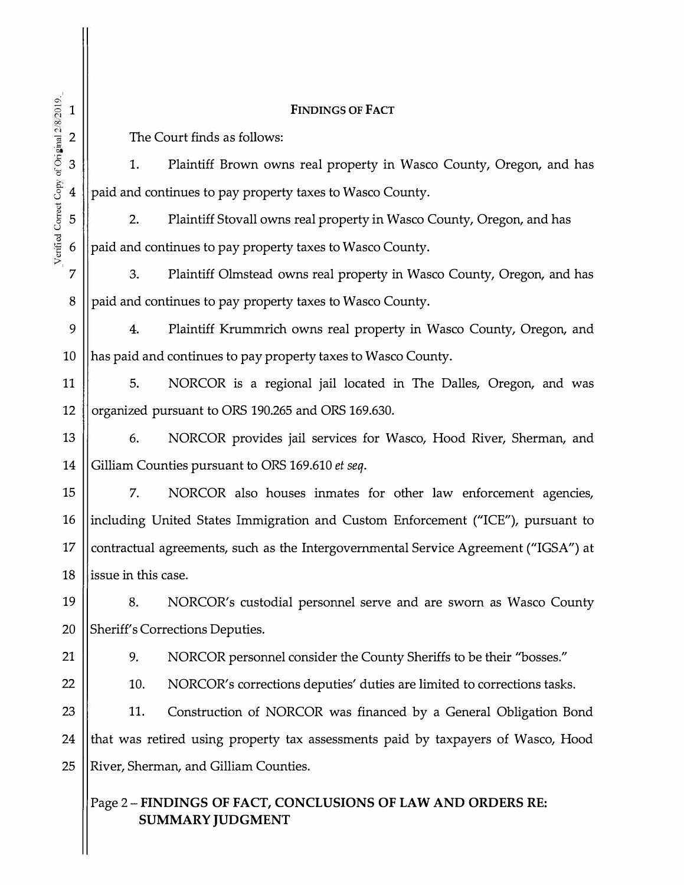| $\mathbf{1}$                                    | <b>FINDINGS OF FACT</b>                                                                 |
|-------------------------------------------------|-----------------------------------------------------------------------------------------|
| $\mathbf{2}$                                    | The Court finds as follows:                                                             |
| $\mathfrak 3$                                   | Plaintiff Brown owns real property in Wasco County, Oregon, and has<br>1.               |
| 4                                               | paid and continues to pay property taxes to Wasco County.                               |
| Verified Correct Copy of Original 2/8/2019<br>5 | Plaintiff Stovall owns real property in Wasco County, Oregon, and has<br>2.             |
| 6                                               | paid and continues to pay property taxes to Wasco County.                               |
| 7                                               | 3.<br>Plaintiff Olmstead owns real property in Wasco County, Oregon, and has            |
| 8                                               | paid and continues to pay property taxes to Wasco County.                               |
| 9                                               | 4.<br>Plaintiff Krummrich owns real property in Wasco County, Oregon, and               |
| 10                                              | has paid and continues to pay property taxes to Wasco County.                           |
| 11                                              | 5.<br>NORCOR is a regional jail located in The Dalles, Oregon, and was                  |
| 12                                              | organized pursuant to ORS 190.265 and ORS 169.630.                                      |
| 13                                              | NORCOR provides jail services for Wasco, Hood River, Sherman, and<br>6.                 |
| 14                                              | Gilliam Counties pursuant to ORS 169.610 et seq.                                        |
| 15                                              | NORCOR also houses inmates for other law enforcement agencies,<br>7.                    |
| 16                                              | including United States Immigration and Custom Enforcement ("ICE"), pursuant to         |
| 17                                              | contractual agreements, such as the Intergovernmental Service Agreement ("IGSA") at     |
| 18                                              | issue in this case.                                                                     |
| 19                                              | 8.<br>NORCOR's custodial personnel serve and are sworn as Wasco County                  |
| 20                                              | Sheriff's Corrections Deputies.                                                         |
| 21                                              | 9.<br>NORCOR personnel consider the County Sheriffs to be their "bosses."               |
| 22                                              | 10.<br>NORCOR's corrections deputies' duties are limited to corrections tasks.          |
| 23                                              | 11.<br>Construction of NORCOR was financed by a General Obligation Bond                 |
| 24                                              | that was retired using property tax assessments paid by taxpayers of Wasco, Hood        |
| 25                                              | River, Sherman, and Gilliam Counties.                                                   |
|                                                 | Page 2 - FINDINGS OF FACT, CONCLUSIONS OF LAW AND ORDERS RE:<br><b>SUMMARY JUDGMENT</b> |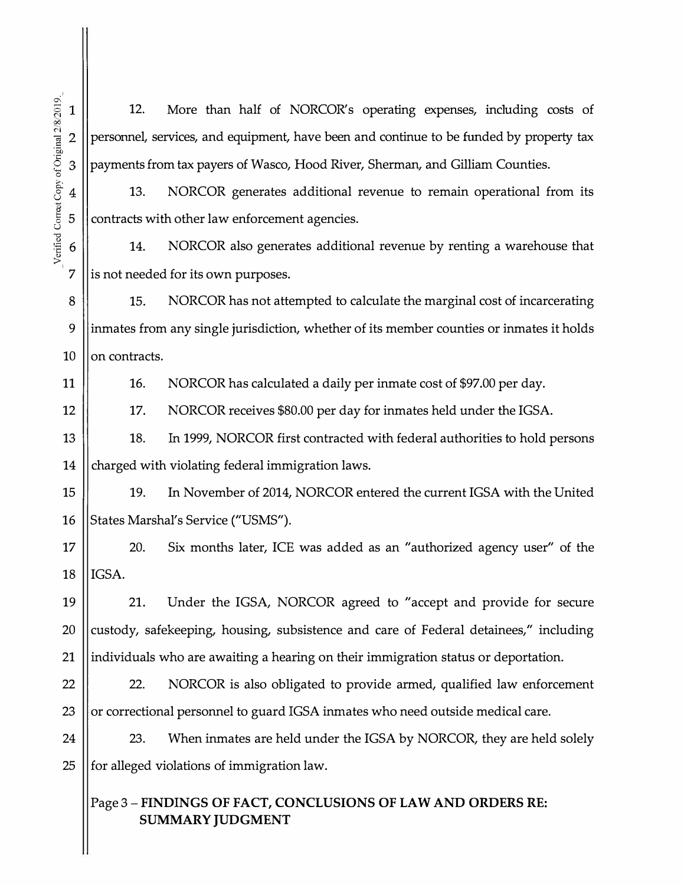12. More than half of NORCOR's operating expenses, including costs of  $\overline{2}$ personnel, services, and equipment, have been and continue to be funded by property tax payments from tax payers of Wasco, Hood River, Sherman, and Gilliam Counties. 3 13. NORCOR generates additional revenue to remain operational from its  $\overline{4}$ 

 $\frac{1}{2}$  | contracts with other law enforcement agencies.

14. NORCOR also generates additional revenue by renting a warehouse that 6  $7$  || is not needed for its own purposes.

8 15. NORCOR has not attempted to calculate the marginal cost of incarcerating 9 ||inmates from any single jurisdiction, whether of its member counties or inmates it holds  $10$  | on contracts.

11

12

16. NORCOR has calculated a daily per inmate cost of \$97.00 per day.

17. NORCOR receives \$80.00 per day for inmates held under the IGSA.

13 18. In 1999, NORCOR first contracted with federal authorities to hold persons 14  $\parallel$  charged with violating federal immigration laws.

15 || 19. In November of 2014, NORCOR entered the current IGSA with the United 16 || States Marshal's Service ("USMS").

17 || 20. Six months later, ICE was added as an "authorized agency user" of the  $18$  | IGSA.

19 21. Under the IGSA, NORCOR agreed to "accept and provide for secure 20  $\parallel$  custody, safekeeping, housing, subsistence and care of Federal detainees," including 21  $\parallel$  individuals who are awaiting a hearing on their immigration status or deportation.

22  $\parallel$  22. NORCOR is also obligated to provide armed, qualified law enforcement 23  $\parallel$  or correctional personnel to guard IGSA inmates who need outside medical care.

24  $\parallel$  23. When inmates are held under the IGSA by NORCOR, they are held solely 25  $\parallel$  for alleged violations of immigration law.

# Page 3 - **FINDINGS OF FACT, CONCLUSIONS OF LAW AND ORDERS RE: SUMMARY JUDGMENT**

 $\mathbf{1}$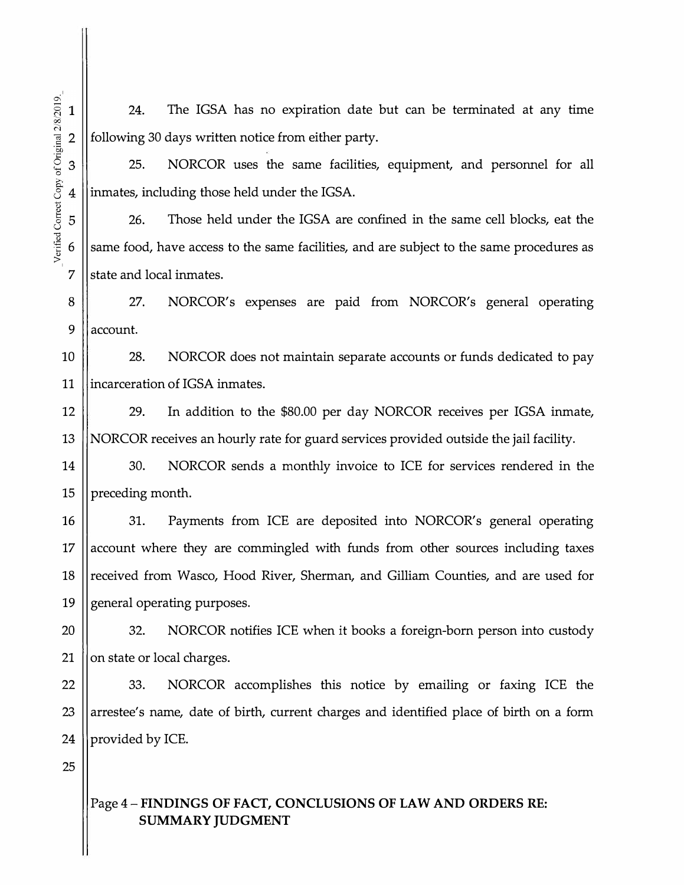24. The IGSA has no expiration date but can be terminated at any time following 30 days written notice from either party.

25. NORCOR uses the same facilities, equipment, and personnel for all inmates, including those held under the IGSA.

26. Those held under the IGSA are confined in the same cell blocks, eat the  $6 \parallel$  same food, have access to the same facilities, and are subject to the same procedures as 7 Istate and local inmates.

8 || 27. NORCOR's expenses are paid from NORCOR's general operating 9 laccount.

10 28. NORCOR does not maintain separate accounts or funds dedicated to pay 11 lincarceration of IGSA inmates.

12 || 29. In addition to the \$80.00 per day NORCOR receives per IGSA inmate, 13 NORCOR receives an hourly rate for guard services provided outside the jail facility.

14 || 30. NORCOR sends a monthly invoice to ICE for services rendered in the 15  $\parallel$  preceding month.

16 || 31. Payments from ICE are deposited into NORCOR's general operating 17 account where they are commingled with funds from other sources including taxes 18 || received from Wasco, Hood River, Sherman, and Gilliam Counties, and are used for 19 || general operating purposes.

20 || 32. NORCOR notifies ICE when it books a foreign-born person into custody 21  $\parallel$  on state or local charges.

 $22$   $\parallel$  33. NORCOR accomplishes this notice by emailing or faxing ICE the 23 || arrestee's name, date of birth, current charges and identified place of birth on a form 24 || provided by ICE.

25

## Page **4-FINDINGS OF FACT, CONCLUSIONS OF LAW AND ORDERS RE: SUMMARY JUDGMENT**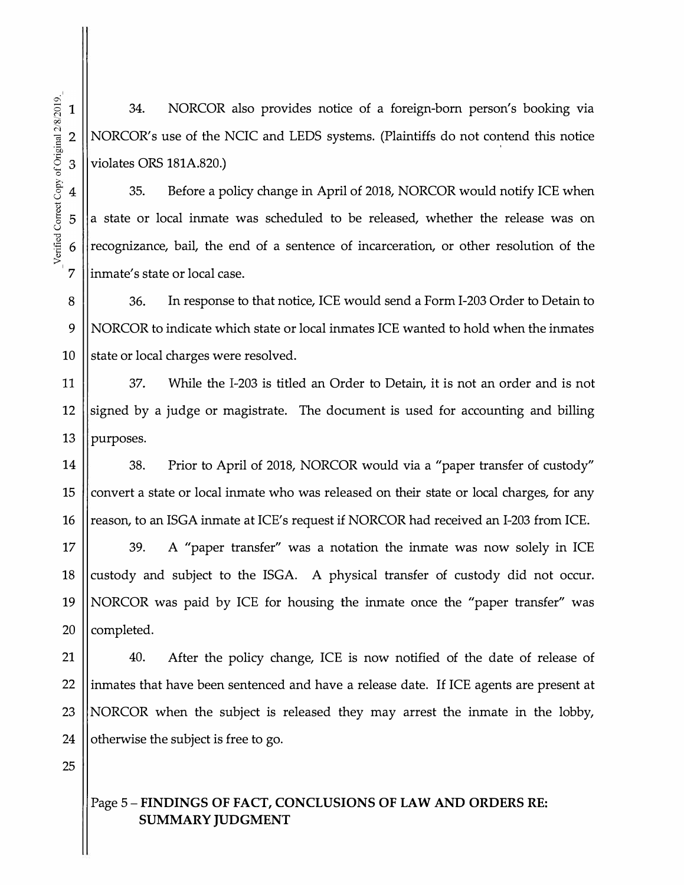34. NORCOR also provides notice of a foreign-born person's booking via NORCOR's use of the NCIC and LEDS systems. (Plaintiffs do not contend this notice violates ORS 181A.820.)

35. Before a policy change in April of 2018, NORCOR would notify ICE when a state or local inmate was scheduled to be released, whether the release was on recognizance, bail, the end of a sentence of incarceration, or other resolution of the inmate's state or local case.

8 36. In response to that notice, ICE would send a Form 1-203 Order to Detain to 9 NORCOR to indicate which state or local inmates ICE wanted to hold when the inmates 10  $\parallel$  state or local charges were resolved.

11 37. While the 1-203 is titled an Order to Detain, it is not an order and is not 12 signed by a judge or magistrate. The document is used for accounting and billing 13  $\parallel$  purposes.

14 | 38. Prior to April of 2018, NORCOR would via a "paper transfer of custody" 15  $\parallel$  convert a state or local inmate who was released on their state or local charges, for any 16 | reason, to an ISGA inmate at ICE's request if NORCOR had received an I-203 from ICE.

17 || 39. A "paper transfer" was a notation the inmate was now solely in ICE 18 custody and subject to the ISGA. A physical transfer of custody did not occur. 19 NORCOR was paid by ICE for housing the inmate once the "paper transfer" was  $20$  || completed.

21 || 40. After the policy change, ICE is now notified of the date of release of 22 ||inmates that have been sentenced and have a release date. If ICE agents are present at 23 ||NORCOR when the subject is released they may arrest the inmate in the lobby, 24  $\parallel$  otherwise the subject is free to go.

25

# Page 5- **FINDINGS OF FACT, CONCLUSIONS OF LAW AND ORDERS RE: SUMMARY JUDGMENT**

 $\mathbf{1}$ 

 $\overline{2}$ 

3

4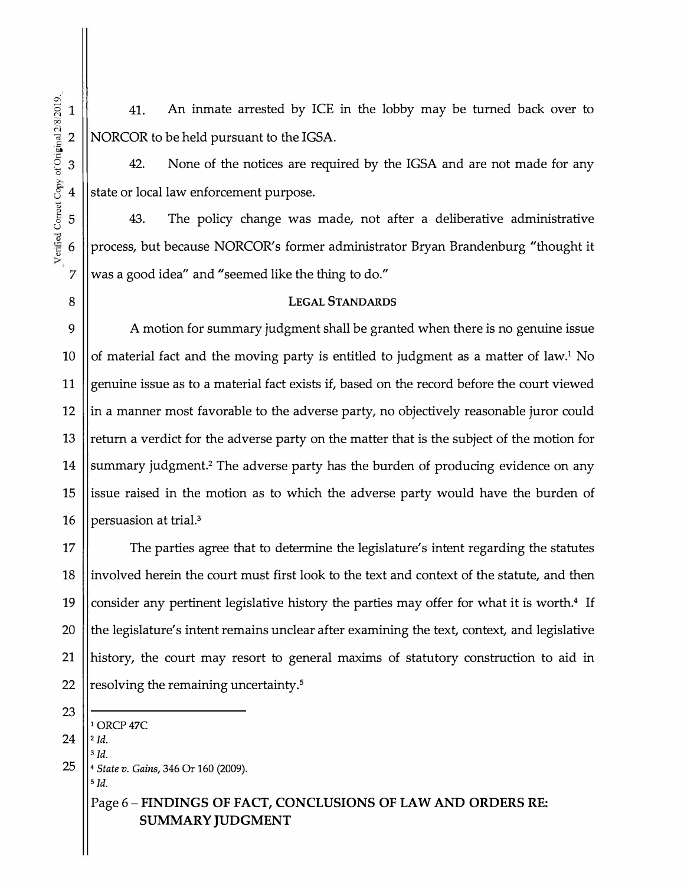41. An inmate arrested by ICE in the lobby may be turned back over to 2 | NORCOR to be held pursuant to the IGSA.

 $3 \parallel$  42. None of the notices are required by the IGSA and are not made for any state or local law enforcement purpose.

43. The policy change was made, not after a deliberative administrative process, but because NORCOR's former administrator Bryan Brandenburg "thought it was a good idea" and "seemed like the thing to do."

#### **LEGAL STANDARDS**

9 15 A motion for summary judgment shall be granted when there is no genuine issue of material fact and the moving party is entitled to judgment as a matter of law.**1** No genuine issue as to a material fact exists if, based on the record before the court viewed in a manner most favorable to the adverse party, no objectively reasonable juror could return a verdict for the adverse party on the matter that is the subject of the motion for summary judgment.**2** The adverse party has the burden of producing evidence on any issue raised in the motion as to which the adverse party would have the burden of 16 | persuasion at trial.<sup>3</sup>

17 The parties agree that to determine the legislature's intent regarding the statutes 18 ||involved herein the court must first look to the text and context of the statute, and then 19 consider any pertinent legislative history the parties may offer for what it is worth.**4** If 20  $\parallel$  the legislature's intent remains unclear after examining the text, context, and legislative 21 history, the court may resort to general maxims of statutory construction to aid in 22  $\parallel$  resolving the remaining uncertainty.<sup>5</sup>

23

 $24$   $||$ <sup>2</sup> *Id.* 

**<sup>1</sup>** 0RCP47C

**<sup>3</sup>***Id.* 

25 4 *State v. Gains,* 346 Or 160 (2009). **<sup>5</sup>***Id.* 

> Page 6 - FINDINGS OF FACT, CONCLUSIONS OF LAW AND ORDERS RE: SUMMARY JUDGMENT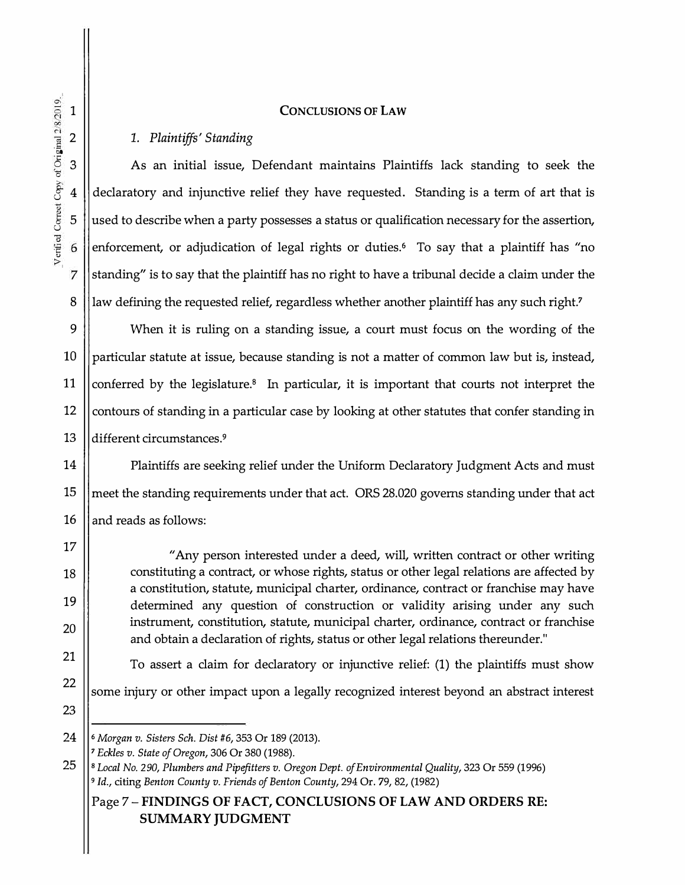#### **CONCLUSIONS OF LAW**

#### *1. Plaintiffs' Standing*

As an initial issue, Defendant maintains Plaintiffs lack standing to seek the declaratory and injunctive relief they have requested. Standing is a term of art that is used to describe when a party possesses a status or qualification necessary for the assertion, enforcement, or adjudication of legal rights or duties.<sup>6</sup> To say that a plaintiff has "no standing" is to say that the plaintiff has no right to have a tribunal decide a claim under the law defining the requested relief, regardless whether another plaintiff has any such right.<sup>7</sup>

9 13 When it is ruling on a standing issue, a court must focus on the wording of the particular statute at issue, because standing is not a matter of common law but is, instead, conferred by the legislature.8 In particular, it is important that courts not interpret the contours of standing in a particular case by looking at other statutes that confer standing in different circumstances.<sup>9</sup>

14 15 16 Plaintiffs are seeking relief under the Uniform Declaratory Judgment Acts and must meet the standing requirements under that act. ORS 28.020 governs standing under that act and reads as follows:

> "Any person interested under a deed, will, written contract or other writing constituting a contract, or whose rights, status or other legal relations are affected by a constitution, statute, municipal charter, ordinance, contract or franchise may have determined any question of construction or validity arising under any such instrument, constitution, statute, municipal charter, ordinance, contract or franchise and obtain a declaration of rights, status or other legal relations thereunder."

To assert a claim for declaratory or injunctive relief: (1) the plaintiffs must show

22 some injury or other impact upon a legally recognized interest beyond an abstract interest

23

17

18

19

20

<sup>24</sup> **6** *Morgan v. Sisters Sch. Dist* #6, 353 Or 189 (2013).

*<sup>7</sup>Eckles v. State of Oregon,* 306 Or 380 (1988).

<sup>25</sup> **8** *Local No.* 290, *Plumbers and Pipefitters v. Oregon Dept. of Environmental Quality,* 323 Or 559 (1996) **<sup>9</sup>***Id.,* citing *Benton County v. Friends of Benton County,* 294 Or. 79, 82, (1982)

Page 7 - FINDINGS OF FACT, CONCLUSIONS OF LAW AND ORDERS RE: SUMMARY JUDGMENT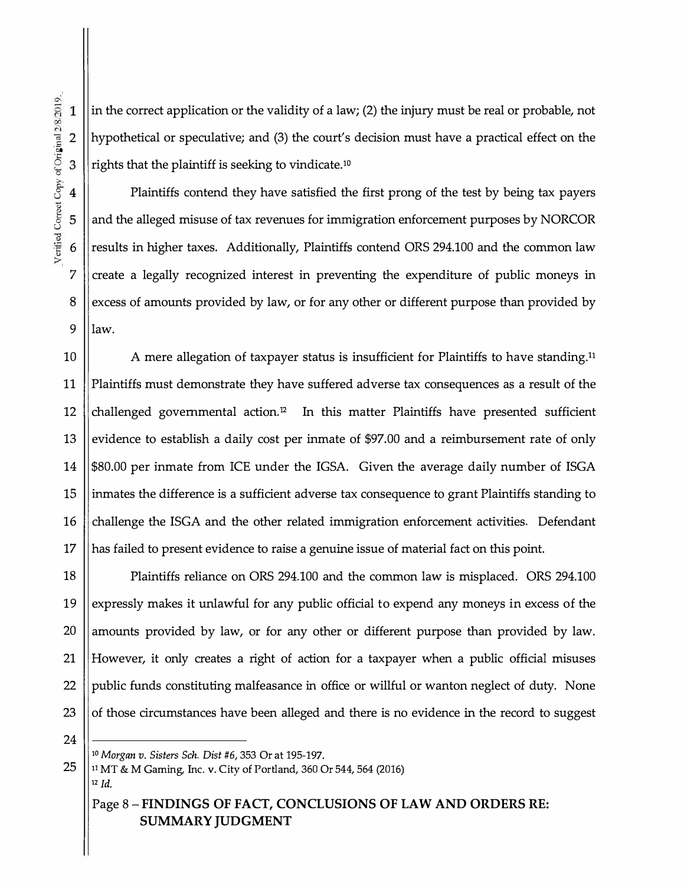in the correct application or the validity of a law; (2) the injury must be real or probable, not hypothetical or speculative; and (3) the court's decision must have a practical effect on the rights that the plaintiff is seeking to vindicate.<sup>10</sup>

Plaintiffs contend they have satisfied the first prong of the test by being tax payers and the alleged misuse of tax revenues for immigration enforcement purposes by NORCOR results in higher taxes. Additionally, Plaintiffs contend ORS 294.100 and the common law create a legally recognized interest in preventing the expenditure of public moneys in excess of amounts provided by law, or for any other or different purpose than provided by  $9$  llaw.

10  $\parallel$  A mere allegation of taxpayer status is insufficient for Plaintiffs to have standing.<sup>11</sup> 11 Plaintiffs must demonstrate they have suffered adverse tax consequences as a result of the 12 challenged governmental action.<sup>12</sup> In this matter Plaintiffs have presented sufficient 13 || evidence to establish a daily cost per inmate of \$97.00 and a reimbursement rate of only 14  $\parallel$  \$80.00 per inmate from ICE under the IGSA. Given the average daily number of ISGA 15  $\parallel$  inmates the difference is a sufficient adverse tax consequence to grant Plaintiffs standing to 16 challenge the ISGA and the other related immigration enforcement activities. Defendant  $17$  || has failed to present evidence to raise a genuine issue of material fact on this point.

18 | Plaintiffs reliance on ORS 294.100 and the common law is misplaced. ORS 294.100 19 Sexpressly makes it unlawful for any public official to expend any moneys in excess of the 20 || amounts provided by law, or for any other or different purpose than provided by law. 21 However, it only creates a right of action for a taxpayer when a public official misuses 22  $\parallel$  public funds constituting malfeasance in office or willful or wanton neglect of duty. None 23  $\parallel$  of those circumstances have been alleged and there is no evidence in the record to suggest

24

ē ·5o 2

 $\mathbf{1}$ 

3

4

5

6

7

8

 $\circ$  $\frac{3}{2}$ 

0 u ,., /eri

**<sup>10</sup>***Morgan v. Sisters Sch. Dist* #6, 353 Or at 195-197.

25 **<sup>11</sup>**MT & M Gaming, Inc. v. City of Portland, 360 Or 544, 564 (2016)

iz *Id.* 

Page 8 - **FINDINGS OF FACT, CONCLUSIONS OF LAW AND ORDERS RE: SUMMARY JUDGMENT**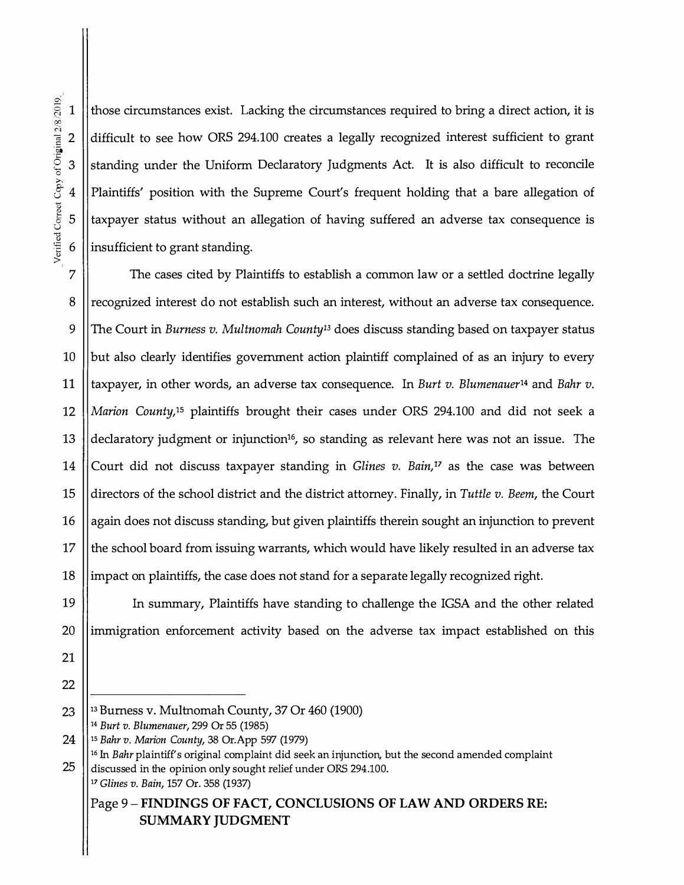·5o o<br>Q  $\mathbf{g}$ � <sup>I</sup>

§ 1 those circumstances exist. Lacking the circumstances required to bring a direct action, it is  $2 \parallel$  difficult to see how ORS 294.100 creates a legally recognized interest sufficient to grant  $3$  S standing under the Uniform Declaratory Judgments Act. It is also difficult to reconcile 8 4 Plaintiffs' position with the Supreme Court's frequent holding that a bare allegation of  $5$  ||taxpayer status without an allegation of having suffered an adverse tax consequence is  $6$  || insufficient to grant standing.

7 The cases cited by Plaintiffs to establish a common law or a settled doctrine legally 8 || recognized interest do not establish such an interest, without an adverse tax consequence. 9 The Court in *Burness v. Multnomah County13* does discuss standing based on taxpayer status 10  $\parallel$  but also clearly identifies government action plaintiff complained of as an injury to every **11** taxpayer, in other words, an adverse tax consequence. In *Burt v. Blumenauer14* and *Bahr v.* 12 *Marion County,<sup>1</sup>5* plaintiffs brought their cases under ORS 294.100 and did not seek a 13 ||declaratory judgment or injunction<sup>16</sup>, so standing as relevant here was not an issue. The 14 Court did not discuss taxpayer standing in *Glines v. Bain,17* as the case was between 15 directors of the school district and the district attorney. Finally, in *Tuttle v. Beem,* the Court 16 again does not discuss standing, but given plaintiffs therein sought an injunction to prevent 17  $\parallel$  the school board from issuing warrants, which would have likely resulted in an adverse tax 18 || impact on plaintiffs, the case does not stand for a separate legally recognized right.

19 In summary, Plaintiffs have standing to challenge the IGSA and the other related 20  $\parallel$  immigration enforcement activity based on the adverse tax impact established on this

- 21
- 22
- 23 **13** Burness v. Multnomah County, 37 Or 460 (1900) **<sup>14</sup>***Burt v. Blumenauer,* 299 Or 55 (1985)
- 24 **15** *Bahr v. Marion County,* 38 Or.App 597 (1979)

# Page **9-FINDINGS OF FACT, CONCLUSIONS OF LAW AND ORDERS RE: SUMMARY JUDGMENT**

**<sup>16</sup>**In *Bahr* plaintiff's original complaint did seek an injunction, but the second amended complaint 25 discussed in the opinion only sought relief under ORS 294.100. **<sup>17</sup>***Glines v. Bain,* 157 Or. 358 (1937)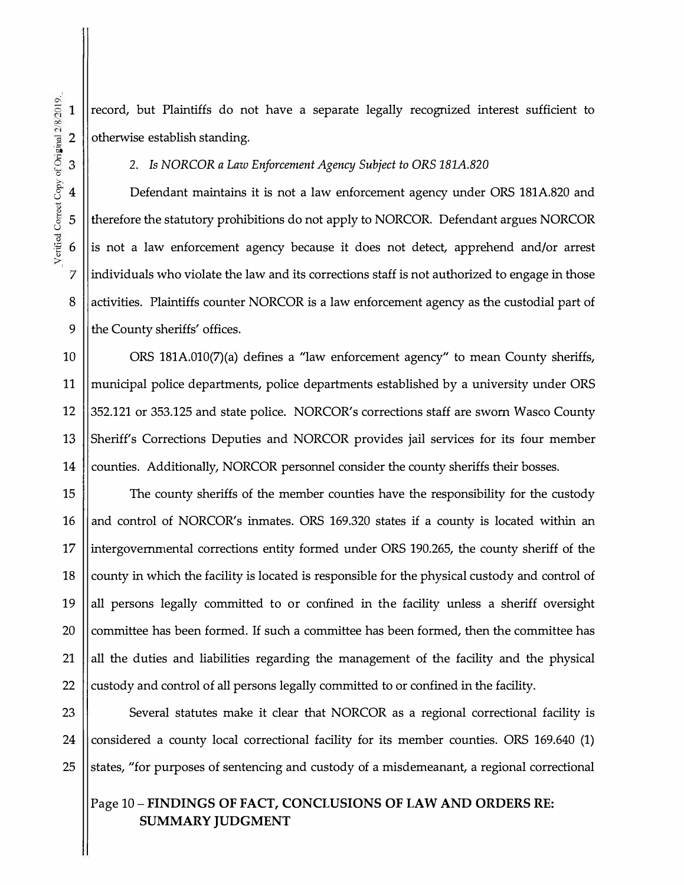record, but Plaintiffs do not have a separate legally recognized interest sufficient to otherwise establish standing.

3 2. *Is NORCOR a Law Enforcement Agency Subject to ORS 181A.820*

4 | Defendant maintains it is not a law enforcement agency under ORS 181A.820 and therefore the statutory prohibitions do not apply to NORCOR. Defendant argues NORCOR is not a law enforcement agency because it does not detect, apprehend and/or arrest individuals who violate the law and its corrections staff is not authorized to engage in those activities. Plaintiffs counter NORCOR is a law enforcement agency as the custodial part of 9  $\parallel$  the County sheriffs' offices.

10 ORS 181A.010(7)(a) defines a "law enforcement agency" to mean County sheriffs, 11 municipal police departments, police departments established by a university under ORS 12 352.121 or 353.125 and state police. NORCOR's corrections staff are sworn Wasco County 13 Sheriff's Corrections Deputies and NORCOR provides jail services for its four member 14 Counties. Additionally, NORCOR personnel consider the county sheriffs their bosses.

15 | The county sheriffs of the member counties have the responsibility for the custody 16 || and control of NORCOR's inmates. ORS 169.320 states if a county is located within an 17 intergovernmental corrections entity formed under ORS 190.265, the county sheriff of the 18 county in which the facility is located is responsible for the physical custody and control of 19 || all persons legally committed to or confined in the facility unless a sheriff oversight 20  $\parallel$  committee has been formed. If such a committee has been formed, then the committee has 21 all the duties and liabilities regarding the management of the facility and the physical 22  $\parallel$  custody and control of all persons legally committed to or confined in the facility.

23 Several statutes make it clear that NORCOR as a regional correctional facility is 24 considered a county local correctional facility for its member counties. ORS 169.640 (1) 25 States, "for purposes of sentencing and custody of a misdemeanant, a regional correctional

#### Page **10-FINDINGS OF FACT, CONCLUSIONS OF LAW AND ORDERS RE: SUMMARY JUDGMENT**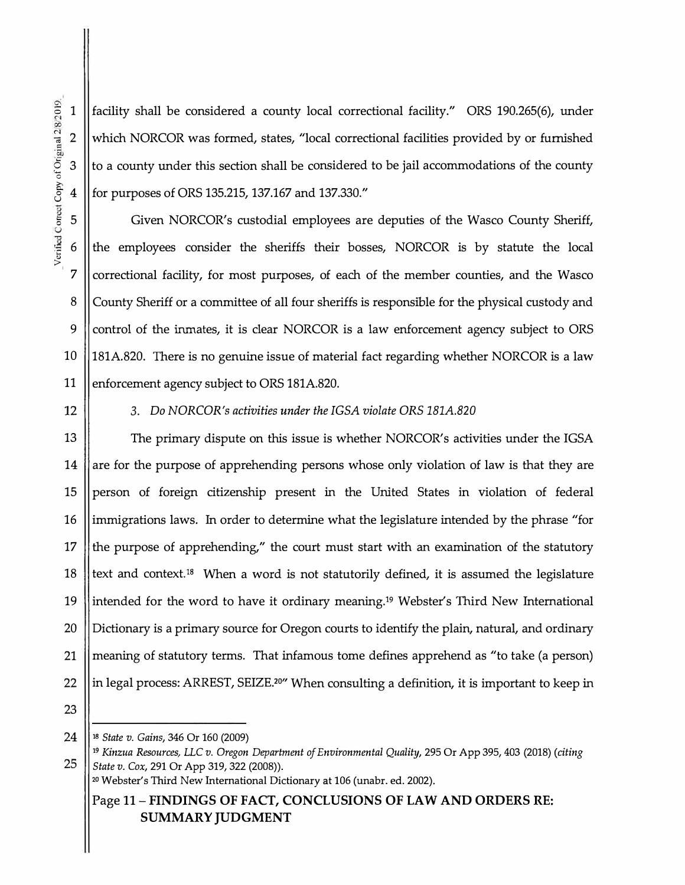1 ||facility shall be considered a county local correctional facility." ORS 190.265(6), under 2 Which NORCOR was formed, states, "local correctional facilities provided by or furnished  $3$  ||to a county under this section shall be considered to be jail accommodations of the county >-. 8 4 for purposes of ORS 135.215, 137.167 and 137.330."

5 Given NORCOR's custodial employees are deputies of the Wasco County Sheriff, 6 the employees consider the sheriffs their bosses, NORCOR is by statute the local  $7$  correctional facility, for most purposes, of each of the member counties, and the Wasco 8 County Sheriff or a committee of all four sheriffs is responsible for the physical custody and 9 Control of the inmates, it is clear NORCOR is a law enforcement agency subject to ORS 10 181A.820. There is no genuine issue of material fact regarding whether NORCOR is a law 11 | enforcement agency subject to ORS 181A.820.

#### 12 3. *Do NORCOR's activities under the IGSA violate ORS lBlA.820*

13 The primary dispute on this issue is whether NORCOR's activities under the IGSA 14 are for the purpose of apprehending persons whose only violation of law is that they are 15 || person of foreign citizenship present in the United States in violation of federal 16 ||immigrations laws. In order to determine what the legislature intended by the phrase "for 17 the purpose of apprehending," the court must start with an examination of the statutory 18 text and context.<sup>18</sup> When a word is not statutorily defined, it is assumed the legislature 19 intended for the word to have it ordinary meaning.1**<sup>9</sup>**Webster's Third New International 20 || Dictionary is a primary source for Oregon courts to identify the plain, natural, and ordinary 21 meaning of statutory terms. That infamous tome defines apprehend as "to take (a person) 22  $\parallel$  in legal process: ARREST, SEIZE.<sup>20"</sup> When consulting a definition, it is important to keep in

23

**24 18** *State v. Gains,* 346 Or 160 (2009)

Page **11-FINDINGS OF FACT, CONCLUSIONS OF LAW AND ORDERS RE: SUMMARY JUDGMENT** 

� <sup>I</sup>

**<sup>19</sup>***Kinzua Resources, LLC v. Oregon Department of Environmental Quality,* 295 Or App 395, 403 (2018) *(citing*  **25** *State v. Cox,* 291 Or App 319,322 (2008)).

**<sup>20</sup>**Webster's Third New International Dictionary at 106 (unabr. ed. 2002).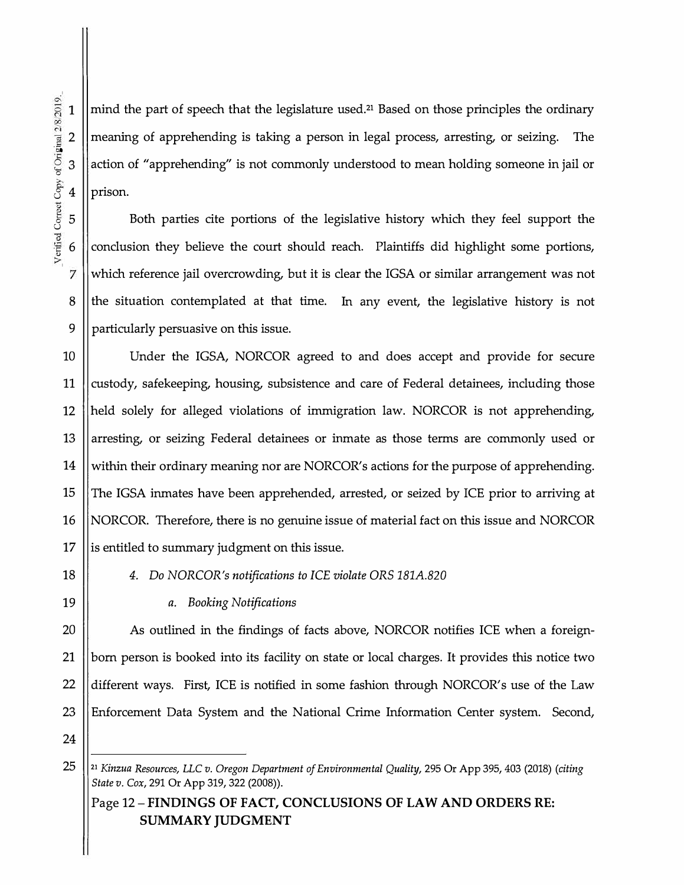mind the part of speech that the legislature used.**21** Based on those principles the ordinary meaning of apprehending is taking a person in legal process, arresting, or seizing. The action of "apprehending" is not commonly understood to mean holding someone in jail or prison.

Both parties cite portions of the legislative history which they feel support the conclusion they believe the court should reach. Plaintiffs did highlight some portions, which reference jail overcrowding, but it is clear the IGSA or similar arrangement was not the situation contemplated at that time. In any event, the legislative history is not particularly persuasive on this issue.

10 14 15 16 Under the IGSA, NORCOR agreed to and does accept and provide for secure custody, safekeeping, housing, subsistence and care of Federal detainees, including those held solely for alleged violations of immigration law. NORCOR is not apprehending, arresting, or seizing Federal detainees or inmate as those terms are commonly used or within their ordinary meaning nor are NORCOR's actions for the purpose of apprehending. The IGSA inmates have been apprehended, arrested, or seized by ICE prior to arriving at NORCOR. Therefore, there is no genuine issue of material fact on this issue and NORCOR  $17$  || is entitled to summary judgment on this issue.

# 18 *4. Do NORCOR's notifications to ICE violate ORS 181A.820*

19 *a. Booking Notifications*

20 || As outlined in the findings of facts above, NORCOR notifies ICE when a foreign-21 born person is booked into its facility on state or local charges. It provides this notice two 22  $\parallel$  different ways. First, ICE is notified in some fashion through NORCOR's use of the Law 23 Enforcement Data System and the National Crime Information Center system. Second,

<sup>25</sup> **21** *Kinzua Resources, LLC v. Oregon Department of Environmental Quality,* 295 Or App 395, 403 (2018) *(citing State v. Cox, 291 Or App 319, 322 (2008)).* 

Page 12 - **FINDINGS OF FACT, CONCLUSIONS OF LAW AND ORDERS RE: SUMMARY JUDGMENT**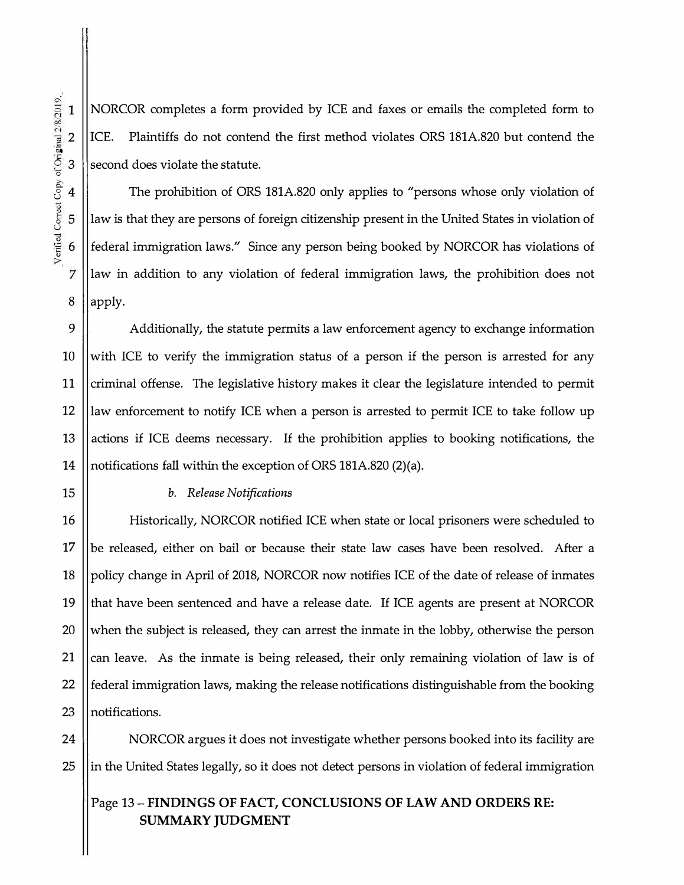1

2 ·5o

 $\circ$ 

NORCOR completes a form provided by ICE and faxes or emails the completed form to ICE. Plaintiffs do not contend the first method violates ORS 181A.820 but contend the  $3$  second does violate the statute.

4 The prohibition of ORS 181A.820 only applies to "persons whose only violation of law is that they are persons of foreign citizenship present in the United States in violation of federal immigration laws." Since any person being booked by NORCOR has violations of law in addition to any violation of federal immigration laws, the prohibition does not  $8$  ||apply.

 $9 \parallel$  Additionally, the statute permits a law enforcement agency to exchange information 10 With ICE to verify the immigration status of a person if the person is arrested for any 11 Criminal offense. The legislative history makes it clear the legislature intended to permit 12 law enforcement to notify ICE when a person is arrested to permit ICE to take follow up 13 || actions if ICE deems necessary. If the prohibition applies to booking notifications, the 14 notifications fall within the exception of ORS 181A.820 (2)(a).

#### 15 *b. Release Notifications*

16 Historically, NORCOR notified ICE when state or local prisoners were scheduled to 17 || be released, either on bail or because their state law cases have been resolved. After a 18 policy change in April of 2018, NORCOR now notifies ICE of the date of release of inmates 19  $\parallel$  that have been sentenced and have a release date. If ICE agents are present at NORCOR 20  $\parallel$  when the subject is released, they can arrest the inmate in the lobby, otherwise the person 21 can leave. As the inmate is being released, their only remaining violation of law is of 22  $\parallel$  federal immigration laws, making the release notifications distinguishable from the booking 23 || notifications.

24 | NORCOR argues it does not investigate whether persons booked into its facility are  $25$  ||in the United States legally, so it does not detect persons in violation of federal immigration

# Page 13 - **FINDINGS OF FACT, CONCLUSIONS OF LAW AND ORDERS RE: SUMMARY JUDGMENT**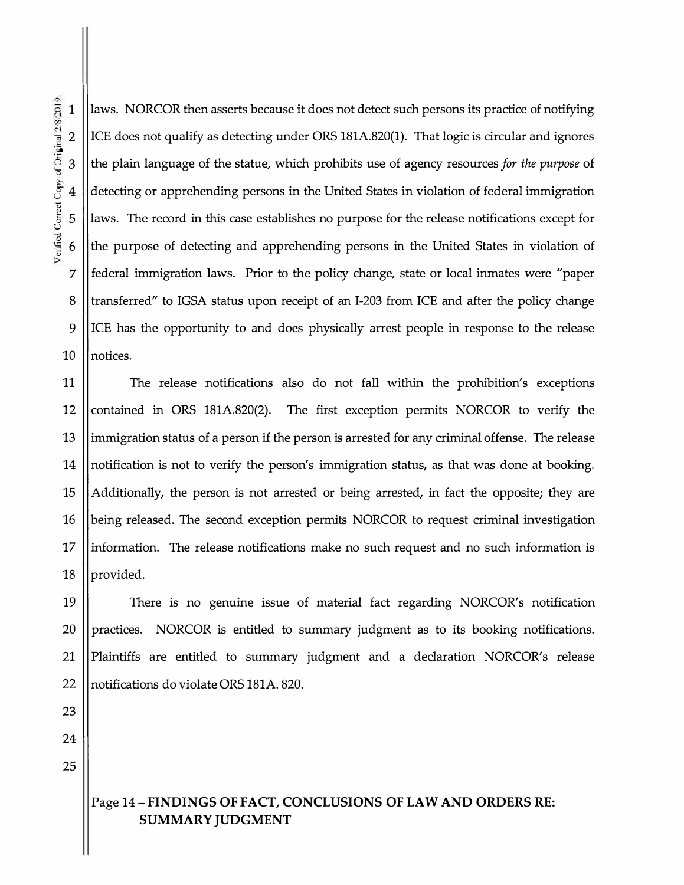laws. NORCOR then asserts because it does not detect such persons its practice of notifying ICE does not qualify as detecting under ORS lSlA.820(1). That logic is circular and ignores the plain language of the statue, which prohibits use of agency resources *for the purpose* of detecting or apprehending persons in the United States in violation of federal immigration laws. The record in this case establishes no purpose for the release notifications except for the purpose of detecting and apprehending persons in the United States in violation of federal immigration laws. Prior to the policy change, state or local inmates were "paper transferred" to IGSA status upon receipt of an 1-203 from ICE and after the policy change ICE has the opportunity to and does physically arrest people in response to the release 10 || notices.

11 The release notifications also do not fall within the prohibition's exceptions 12 contained in ORS 181A.820(2). The first exception permits NORCOR to verify the 13 immigration status of a person if the person is arrested for any criminal offense. The release 14 notification is not to verify the person's immigration status, as that was done at booking. 15  $\parallel$  Additionally, the person is not arrested or being arrested, in fact the opposite; they are 16 | being released. The second exception permits NORCOR to request criminal investigation  $17$  ||information. The release notifications make no such request and no such information is 18 || provided.

19 There is no genuine issue of material fact regarding NORCOR's notification  $20$  || practices. NORCOR is entitled to summary judgment as to its booking notifications. 21 Plaintiffs are entitled to summary judgrnent and a declaration NORCOR's release 22 || notifications do violate ORS 181A. 820.

23 24

25

## Page 14-**FINDINGS OF FACT, CONCLUSIONS OF LAW AND ORDERS RE: SUMMARY JUDGMENT**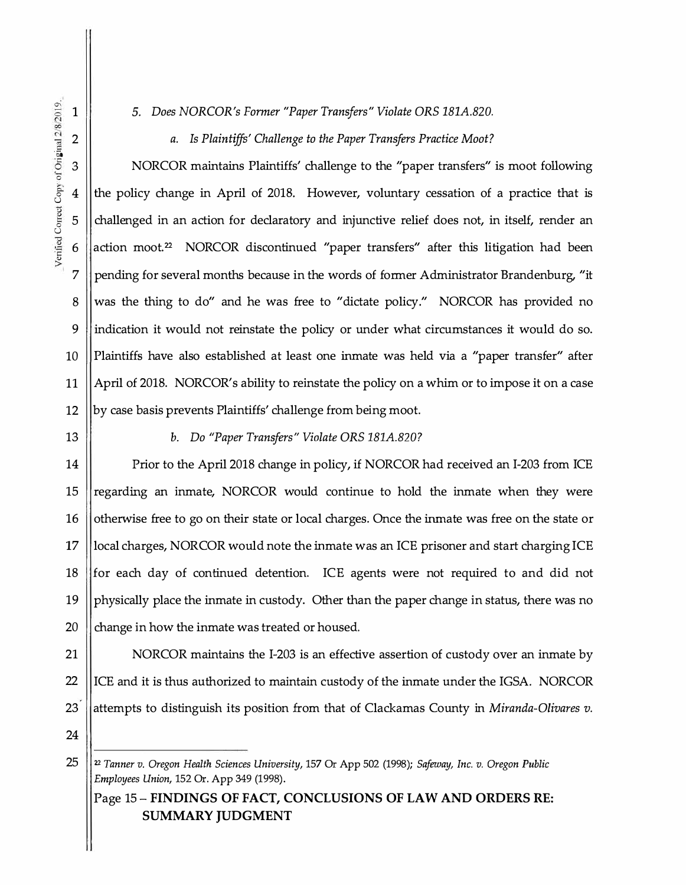7

8

9

10

11

*5. Does NORCOR's Former "Paper Transfers" Violate ORS 181A.820.*

*a. Is Plaintiffs' Challenge to the Paper Transfers Practice Moot?*

NORCOR maintains Plaintiffs' challenge to the "paper transfers" is moot following the policy change in April of 2018. However, voluntary cessation of a practice that is challenged in an action for declaratory and injunctive relief does not, in itself, render an action moot.<sup>22</sup> NORCOR discontinued "paper transfers" after this litigation had been pending for several months because in the words of former Administrator Brandenburg, "it was the thing to do" and he was free to "dictate policy." NORCOR has provided no indication it would not reinstate the policy or under what circumstances it would do so. Plaintiffs have also established at least one inmate was held via a "paper transfer" after April of 2018. NORCOR's ability to reinstate the policy on a whim or to impose it on a case by case basis prevents Plaintiffs' challenge from being moot.

13

12

*b. Do "Paper Transfers" Violate ORS 181A.820?*

14 15 16 17 Prior to the April 2018 change in policy, if NORCOR had received an I-203 from ICE regarding an inmate, NORCOR would continue to hold the inmate when they were otherwise free to go on their state or local charges. Once the inmate was free on the state or local charges, NORCOR would note the inmate was an ICE prisoner and start charging ICE 18  $\parallel$  for each day of continued detention. ICE agents were not required to and did not 19 || physically place the inmate in custody. Other than the paper change in status, there was no 20  $\parallel$  change in how the inmate was treated or housed.

21 | NORCOR maintains the I-203 is an effective assertion of custody over an inmate by 22 | ICE and it is thus authorized to maintain custody of the inmate under the IGSA. NORCOR 23 attempts to distinguish its position from that of Clackamas County in *Miranda-Olivares v.* 

<sup>25</sup> 22 *Tanner v. Oregon Health Sciences University,* 157 Or App 502 (1998); *Safeway, Inc. v. Oregon Public Employees Union,* 152 Or. App 349 (1998).

Page 15- **FINDINGS OF FACT, CONCLUSIONS OF LAW AND ORDERS RE: SUMMARY JUDGMENT**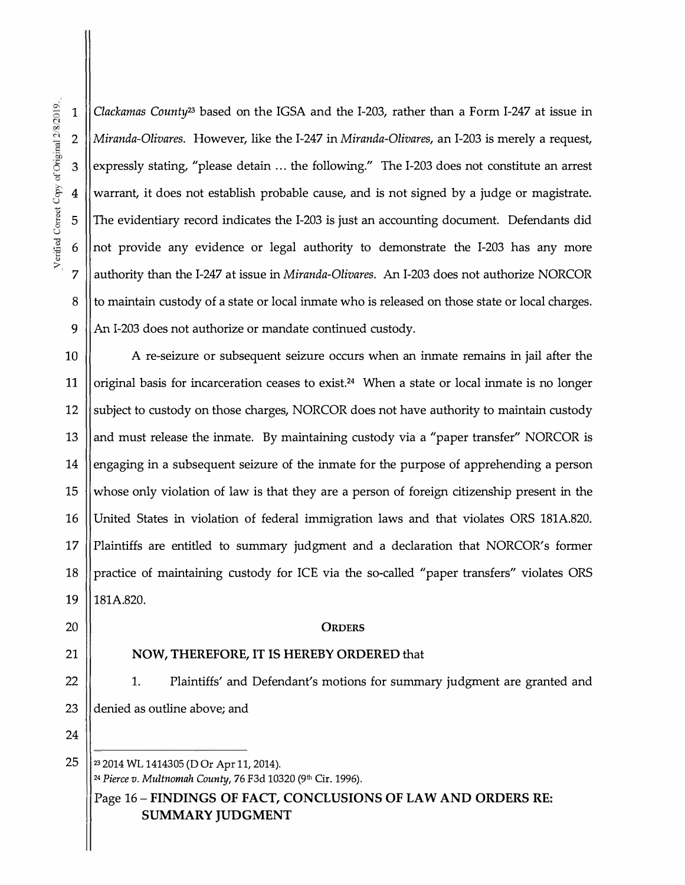1

2

4

3

5

6

7

8

9

*Clackamas County23* based on the IGSA and the I-203, rather than a Form I-247 at issue in *Miranda-Olivares.* However, like the I-247 in *Miranda-Olivares,* an I-203 is merely a request, expressly stating, "please detain ... the following." The I-203 does not constitute an arrest warrant, it does not establish probable cause, and is not signed by a judge or magistrate. The evidentiary record indicates the I-203 is just an accounting document. Defendants did not provide any evidence or legal authority to demonstrate the I-203 has any more authority than the I-247 at issue in *Miranda-Olivares.* **An** I-203 does not authorize NORCOR to maintain custody of a state or local inmate who is released on those state or local charges. **An** I-203 does not authorize or mandate continued custody.

10 11 12 13 14 15 16 17 18 A re-seizure or subsequent seizure occurs when an inmate remains in jail after the original basis for incarceration ceases to exist.**24** When a state or local inmate is no longer subject to custody on those charges, NORCOR does not have authority to maintain custody and must release the inmate. By maintaining custody via a "paper transfer" NORCOR is engaging in a subsequent seizure of the inmate for the purpose of apprehending a person whose only violation of law is that they are a person of foreign citizenship present in the United States in violation of federal immigration laws and that violates ORS 181A.820. Plaintiffs are entitled to summary judgment and a declaration that NORCOR's former practice of maintaining custody for ICE via the so-called "paper transfers" violates ORS **19** 181A.820.

#### 20 **ORDERS**

#### 21 **NOW, THEREFORE, IT IS HEREBY ORDERED** that

22 | 1. Plaintiffs' and Defendant's motions for summary judgment are granted and 23 denied as outline above; and

Page 16 - **FINDINGS OF FACT, CONCLUSIONS OF LAW AND ORDERS RE: SUMMARY JUDGMENT** 

24 25 **<sup>2</sup>**

**<sup>3</sup>**2014 WL 1414305 (D Or Apr 11, 2014). <sup>24</sup>*Pierce v. Multnomah County,* 76 F3d 10320 (9th Cir. 1996).